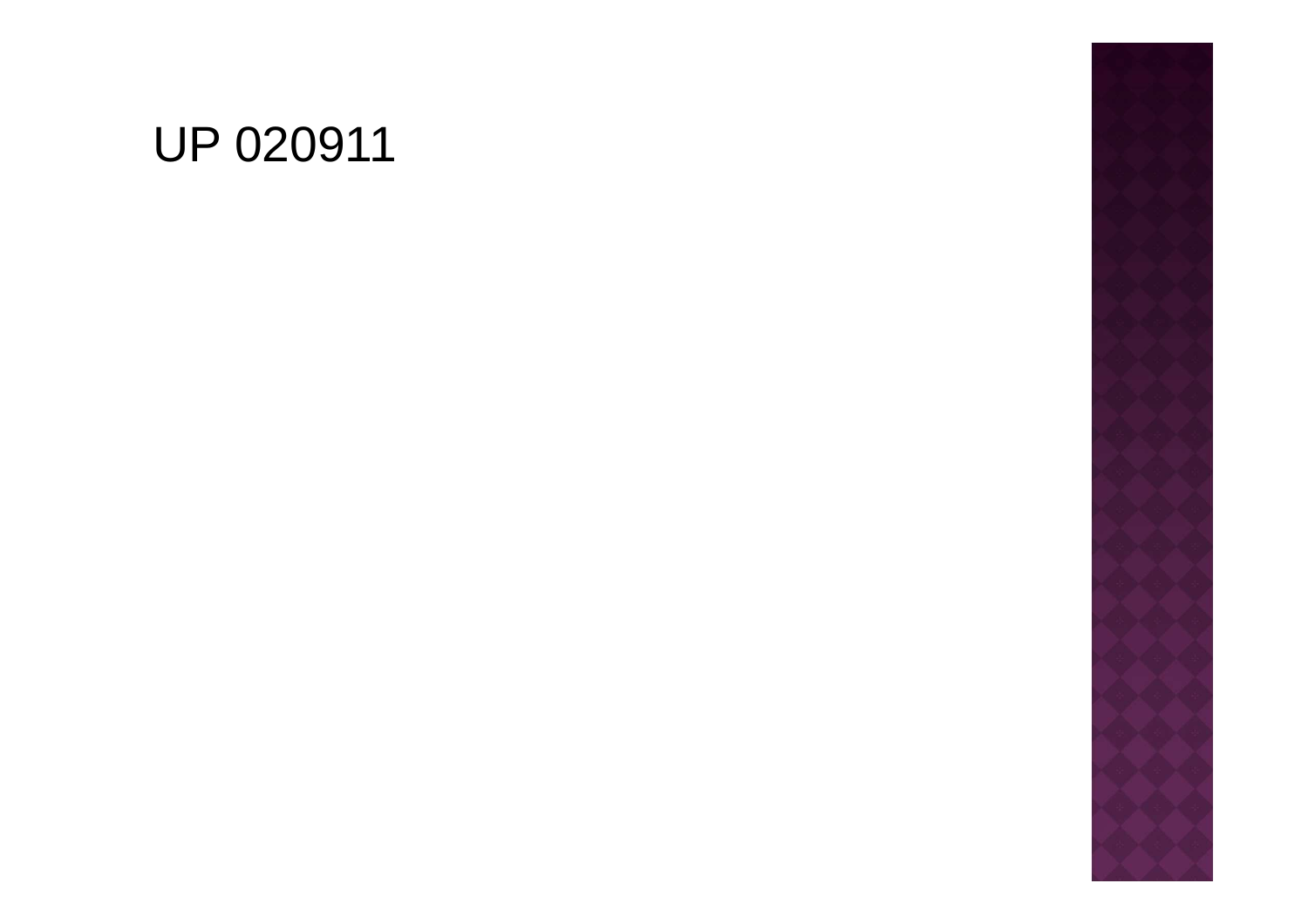# **UP 020911**

- 
- 
- 
- 
- 
- 
- -
- -
	-
- 
-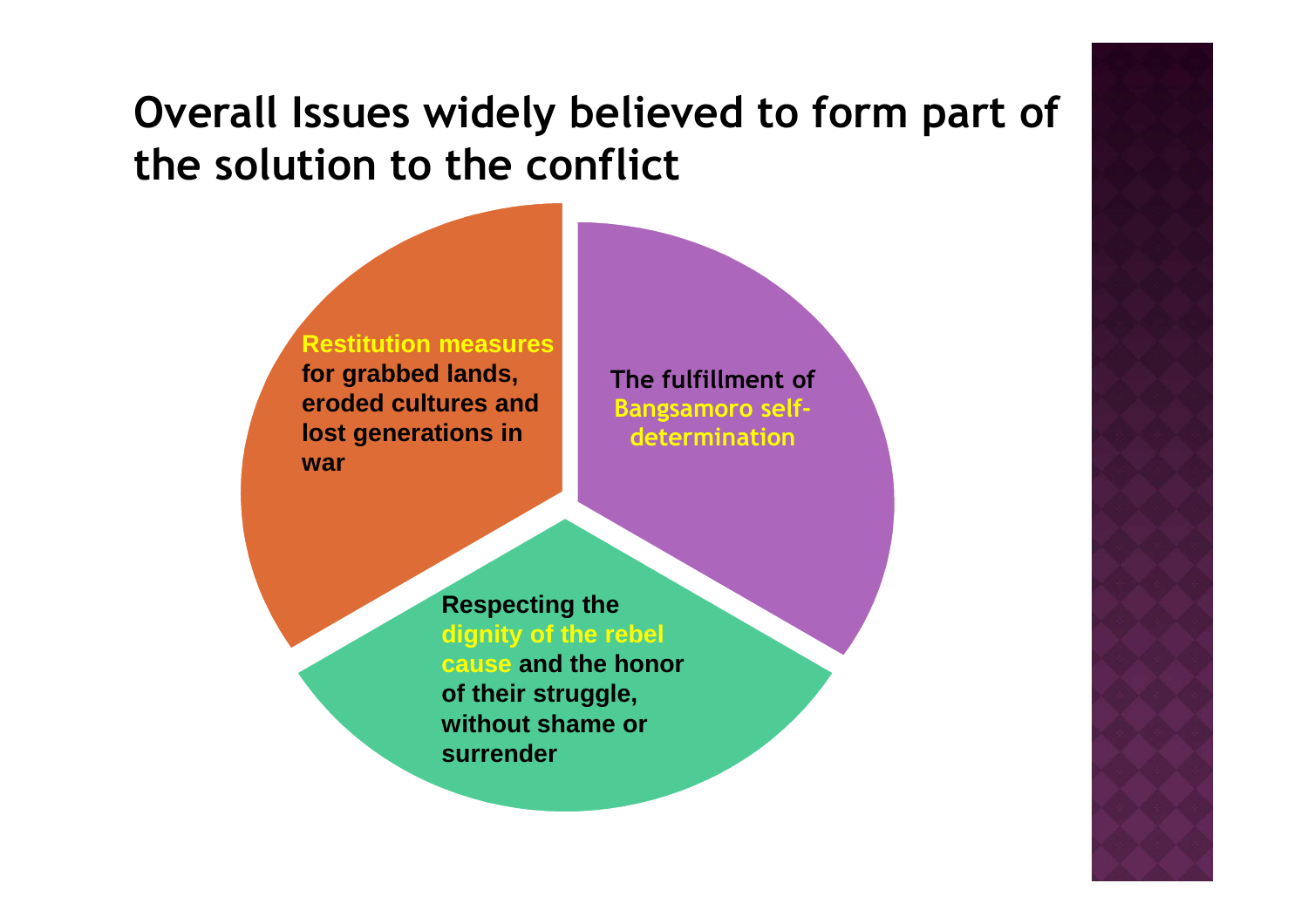# **Overall Issues widely believed to form part ofthe solution to the conflict**



**The fulfillment of Bangsamoro selfdetermination**

**Respecting the dignity of the rebel cause and the honor of their struggle, without shame or surrender**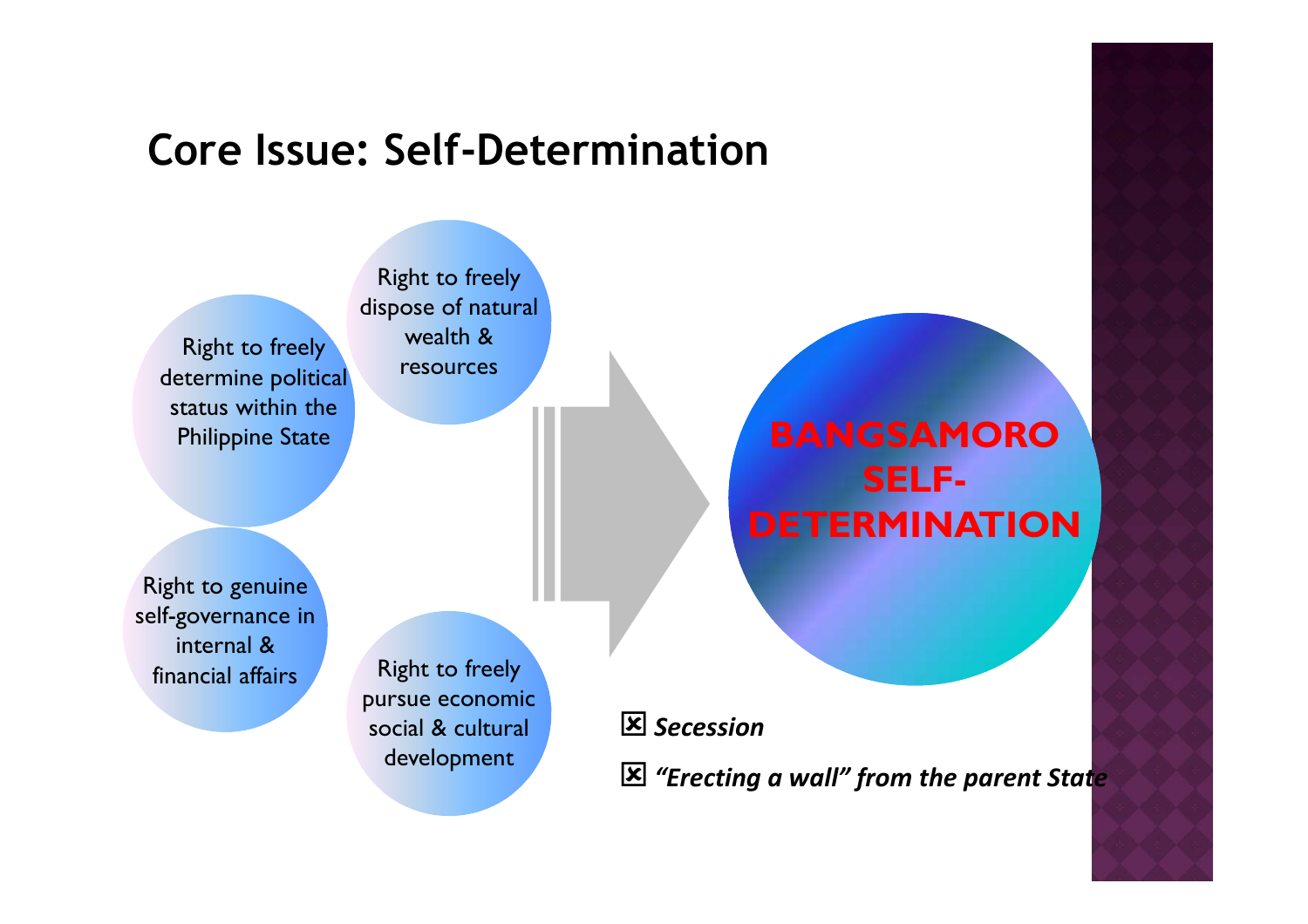## **Core Issue: Self-Determination**

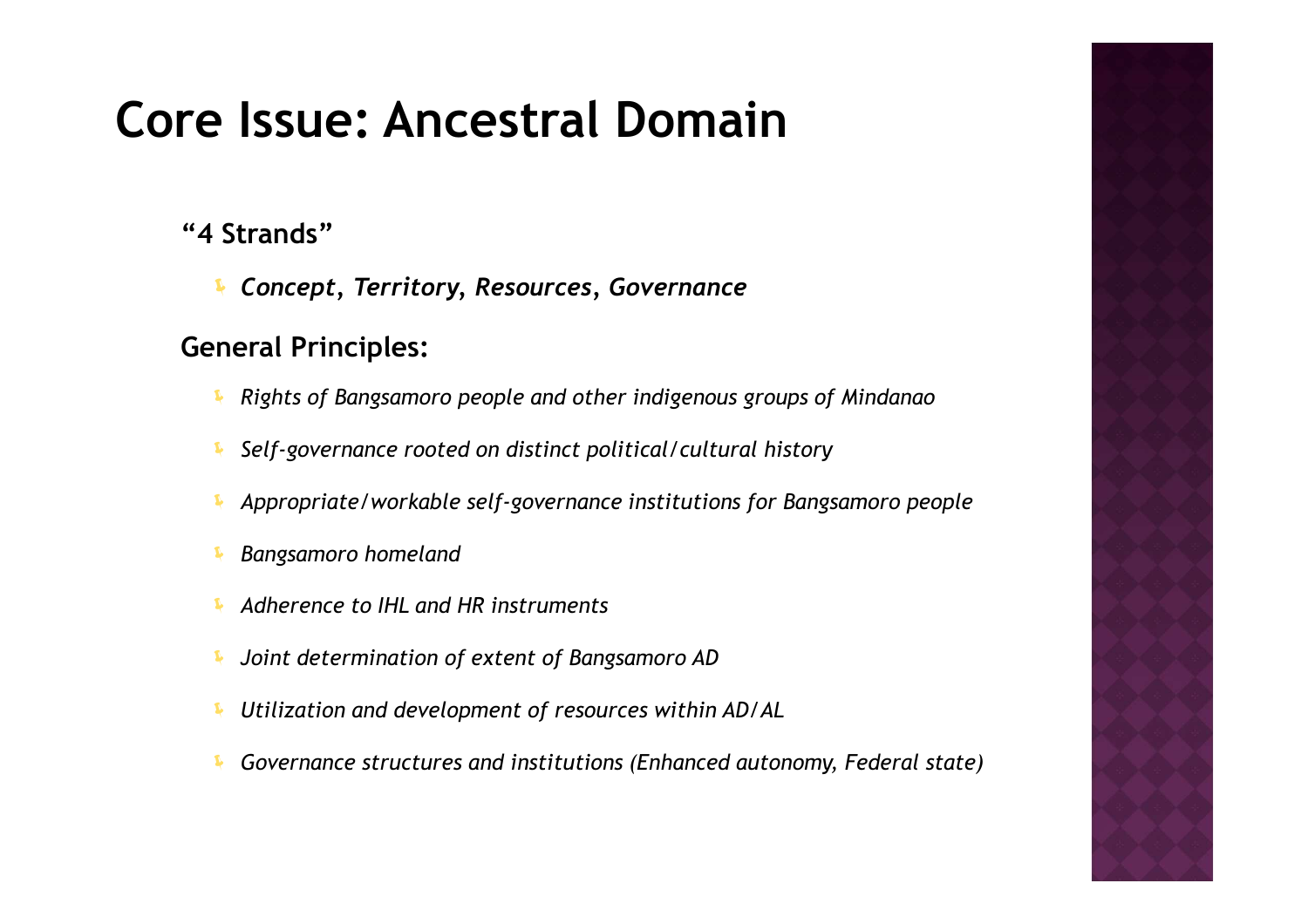# **Core Issue: Ancestral Domain**

### **"4 Strands"**

*Concept, Territory, Resources, Governance*

#### **General Principles:**

- Į *Rights of Bangsamoro people and other indigenous groups of Mindanao*
- Į *Self-governance rooted on distinct political/cultural history*
- Į *Appropriate/workable self-governance institutions for Bangsamoro people*
- Į *Bangsamoro homeland*
- Į *Adherence to IHL and HR instruments*
- Į *Joint determination of extent of Bangsamoro AD*
- Į *Utilization and development of resources within AD/AL*
- Į *Governance structures and institutions (Enhanced autonomy, Federal state)*

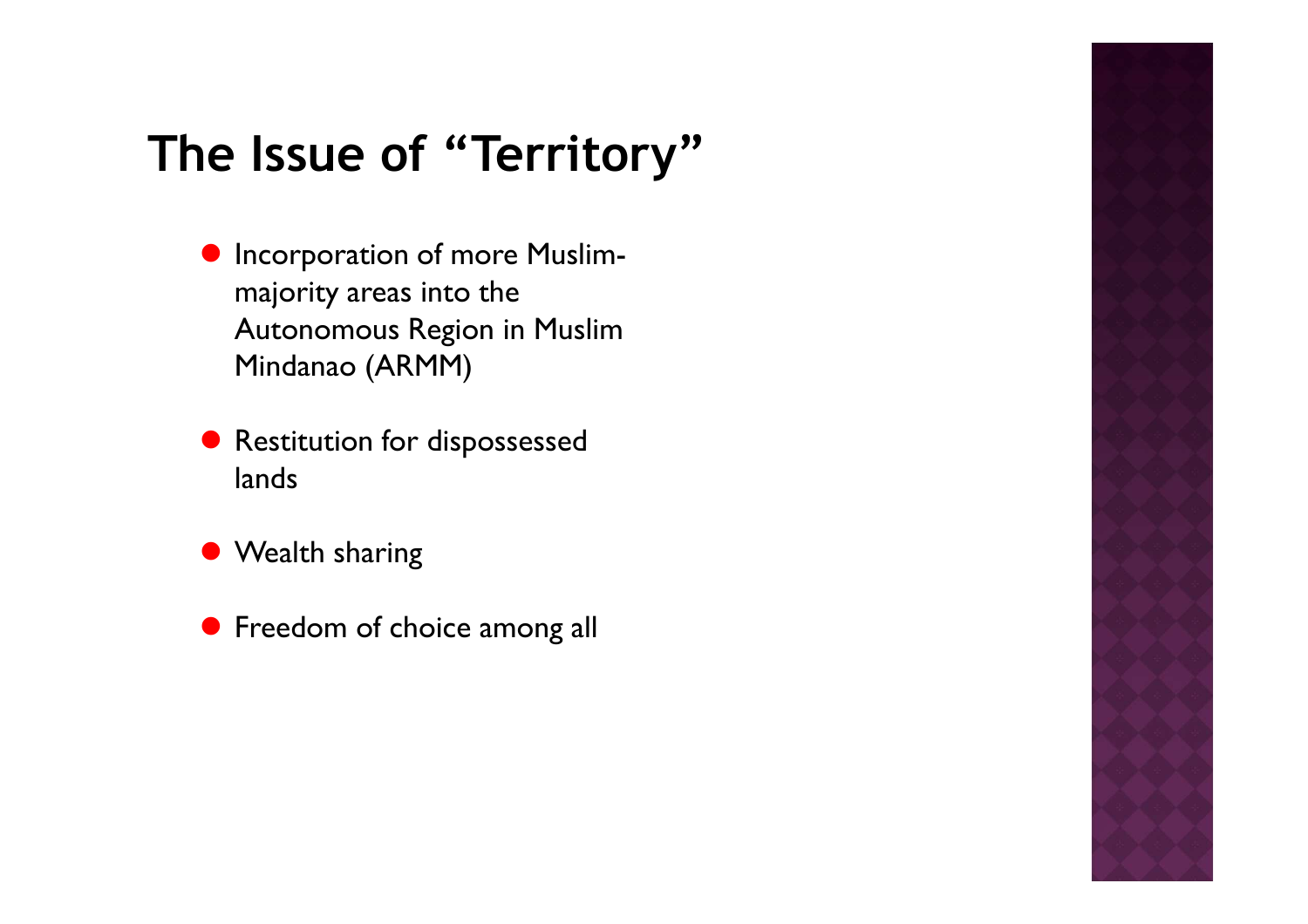# **The Issue of "Territory"**

- **•** Incorporation of more Muslimmajority areas into the Autonomous Region in Muslim Mindanao (ARMM)
- Restitution for dispossessed lands
- Wealth sharing
- **•** Freedom of choice among all

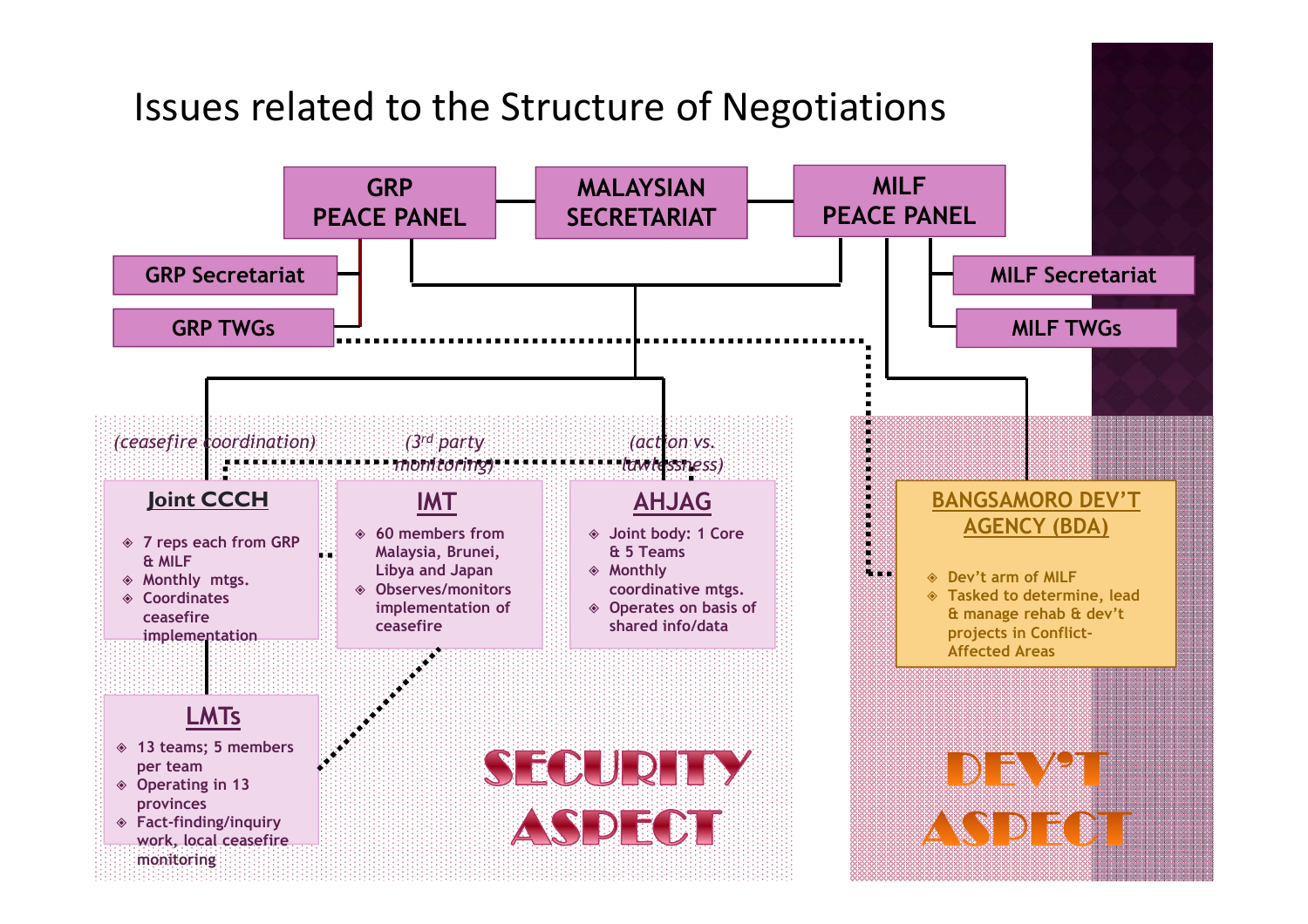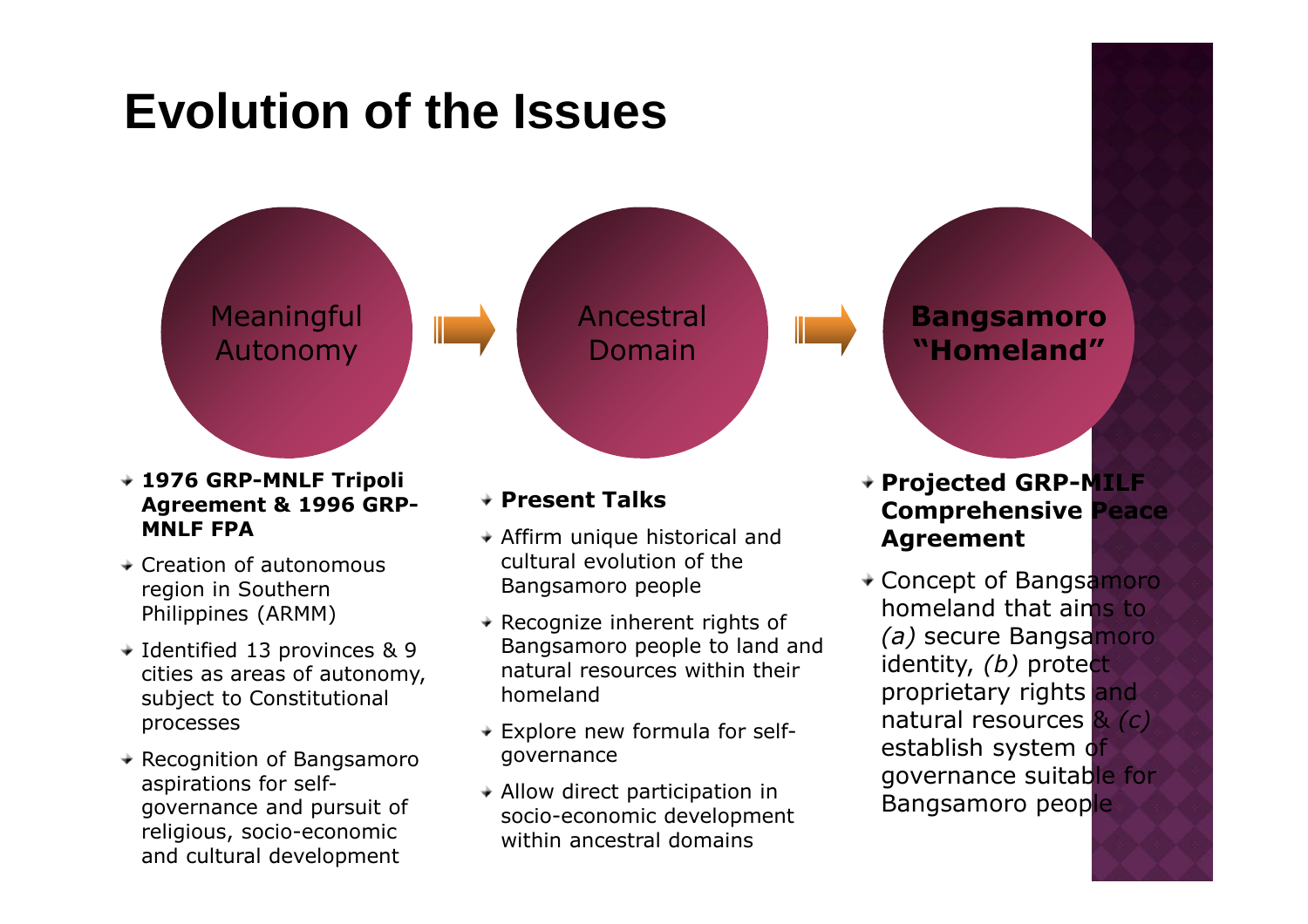

- **MNLF FPA** $\div$  Creation of autonomous
- region in Southern Philippines (ARMM)
- **→ Identified 13 provinces & 9**  cities as areas of autonomy, subject to Constitutional processes
- **★ Recognition of Bangsamoro** aspirations for selfgovernance and pursuit of religious, socio-economic and cultural development
- $\rightarrow$  Affirm unique historical and cultural evolution of the Bangsamoro people
- $\rightarrow$  Recognize inherent rights of Bangsamoro people to land and natural resources within their homeland
- $\div$  Explore new formula for selfgovernance
- $\rightarrow$  Allow direct participation in socio-economic development within ancestral domains

### **Comprehensive Peace Agreement**

Concept of Bangsamoro homeland that aims to *(a)* secure Bangsamoro identity, *(b)* protect proprietary rights and natural resources & *(c)*establish system of governance suitable for Bangsamoro people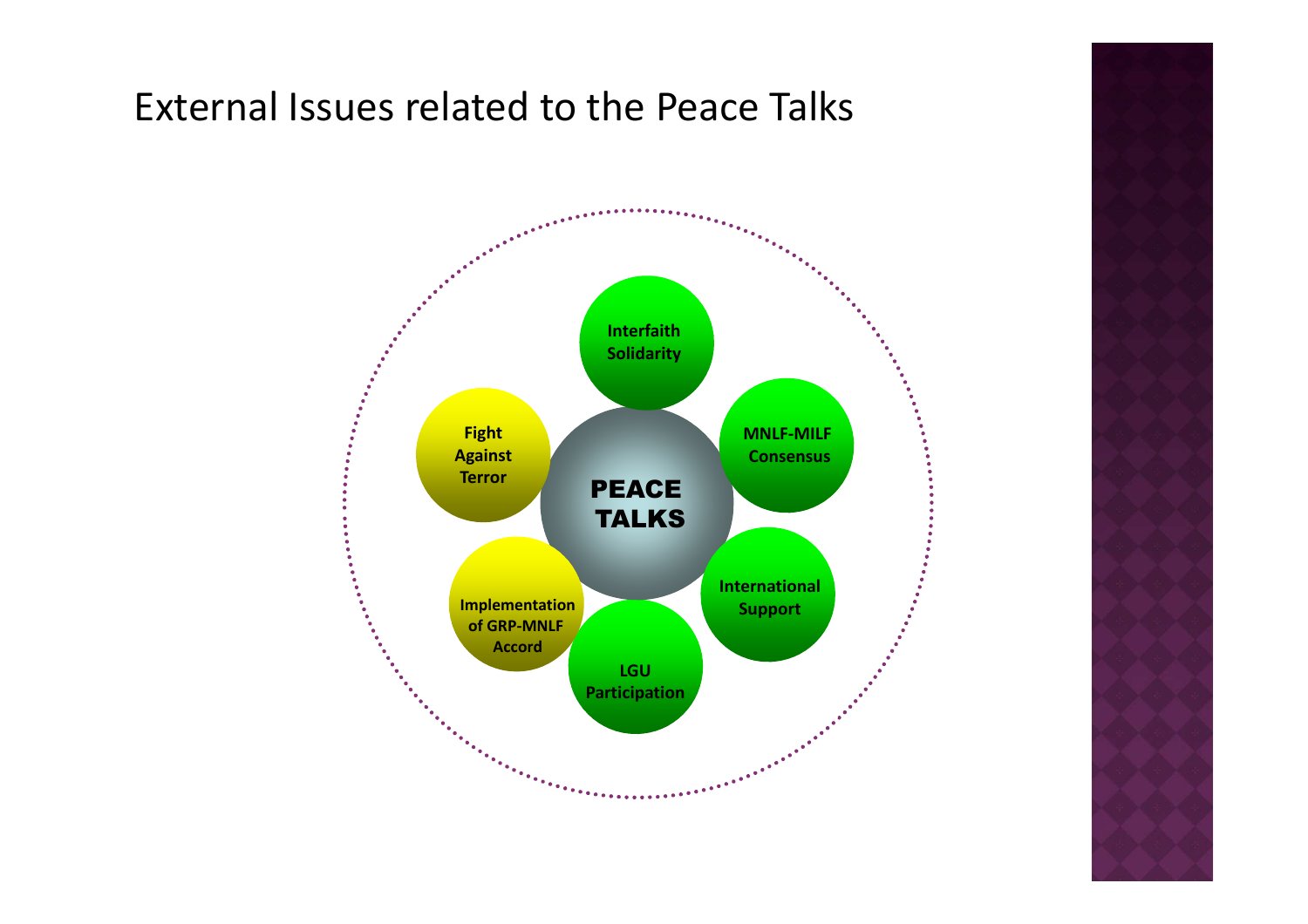### External Issues related to the Peace Talks